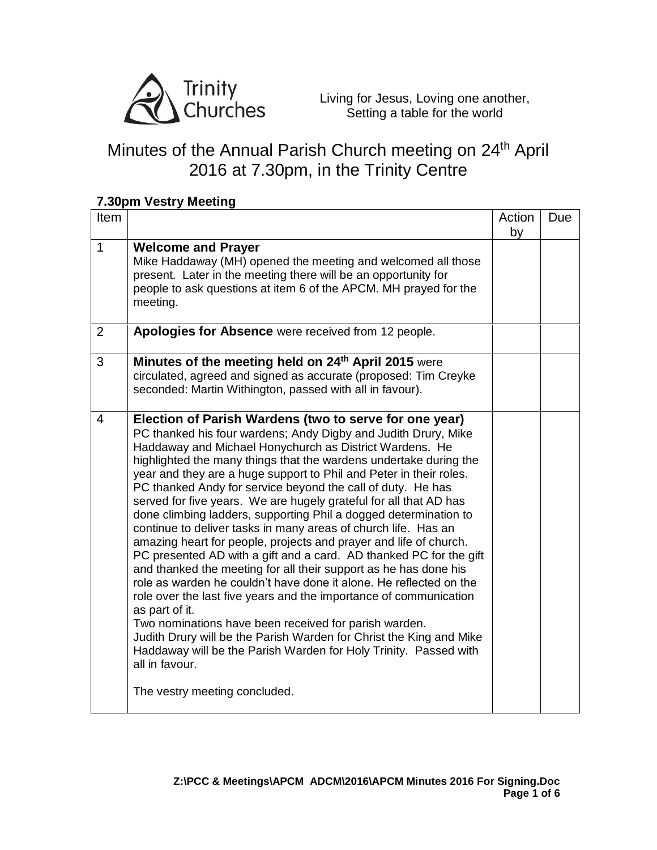

## Minutes of the Annual Parish Church meeting on 24<sup>th</sup> April 2016 at 7.30pm, in the Trinity Centre

|                | עווועטטוון נוסטי ווועטטו                                                                                                                                                                                                                                                                                                                                                                                                                                                                                                                                                                                                                                                                                                                                                                                                                                                                                                                                                                                                                                                                                                                                                                                                                    |              |     |
|----------------|---------------------------------------------------------------------------------------------------------------------------------------------------------------------------------------------------------------------------------------------------------------------------------------------------------------------------------------------------------------------------------------------------------------------------------------------------------------------------------------------------------------------------------------------------------------------------------------------------------------------------------------------------------------------------------------------------------------------------------------------------------------------------------------------------------------------------------------------------------------------------------------------------------------------------------------------------------------------------------------------------------------------------------------------------------------------------------------------------------------------------------------------------------------------------------------------------------------------------------------------|--------------|-----|
| Item           |                                                                                                                                                                                                                                                                                                                                                                                                                                                                                                                                                                                                                                                                                                                                                                                                                                                                                                                                                                                                                                                                                                                                                                                                                                             | Action<br>by | Due |
| $\mathbf{1}$   | <b>Welcome and Prayer</b><br>Mike Haddaway (MH) opened the meeting and welcomed all those<br>present. Later in the meeting there will be an opportunity for<br>people to ask questions at item 6 of the APCM. MH prayed for the<br>meeting.                                                                                                                                                                                                                                                                                                                                                                                                                                                                                                                                                                                                                                                                                                                                                                                                                                                                                                                                                                                                 |              |     |
| $\overline{2}$ | Apologies for Absence were received from 12 people.                                                                                                                                                                                                                                                                                                                                                                                                                                                                                                                                                                                                                                                                                                                                                                                                                                                                                                                                                                                                                                                                                                                                                                                         |              |     |
| 3              | Minutes of the meeting held on 24 <sup>th</sup> April 2015 were<br>circulated, agreed and signed as accurate (proposed: Tim Creyke<br>seconded: Martin Withington, passed with all in favour).                                                                                                                                                                                                                                                                                                                                                                                                                                                                                                                                                                                                                                                                                                                                                                                                                                                                                                                                                                                                                                              |              |     |
| 4              | Election of Parish Wardens (two to serve for one year)<br>PC thanked his four wardens; Andy Digby and Judith Drury, Mike<br>Haddaway and Michael Honychurch as District Wardens. He<br>highlighted the many things that the wardens undertake during the<br>year and they are a huge support to Phil and Peter in their roles.<br>PC thanked Andy for service beyond the call of duty. He has<br>served for five years. We are hugely grateful for all that AD has<br>done climbing ladders, supporting Phil a dogged determination to<br>continue to deliver tasks in many areas of church life. Has an<br>amazing heart for people, projects and prayer and life of church.<br>PC presented AD with a gift and a card. AD thanked PC for the gift<br>and thanked the meeting for all their support as he has done his<br>role as warden he couldn't have done it alone. He reflected on the<br>role over the last five years and the importance of communication<br>as part of it.<br>Two nominations have been received for parish warden.<br>Judith Drury will be the Parish Warden for Christ the King and Mike<br>Haddaway will be the Parish Warden for Holy Trinity. Passed with<br>all in favour.<br>The vestry meeting concluded. |              |     |

## **7.30pm Vestry Meeting**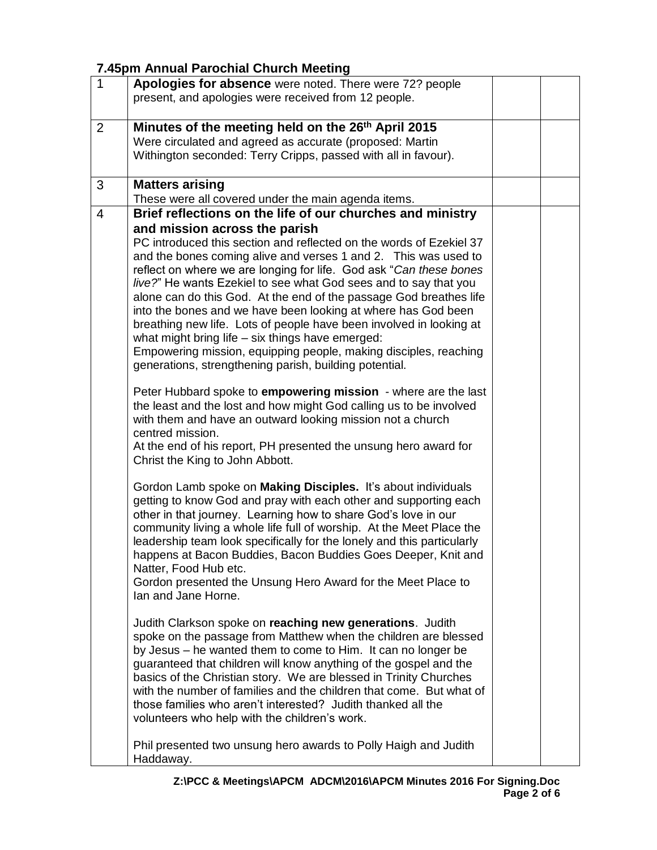## **7.45pm Annual Parochial Church Meeting**

| 1              | Apologies for absence were noted. There were 72? people<br>present, and apologies were received from 12 people.                                                                                                                                                                                                                                                                                                                                                                                                                                                                                                                                                                                                     |  |
|----------------|---------------------------------------------------------------------------------------------------------------------------------------------------------------------------------------------------------------------------------------------------------------------------------------------------------------------------------------------------------------------------------------------------------------------------------------------------------------------------------------------------------------------------------------------------------------------------------------------------------------------------------------------------------------------------------------------------------------------|--|
| 2              | Minutes of the meeting held on the 26 <sup>th</sup> April 2015<br>Were circulated and agreed as accurate (proposed: Martin<br>Withington seconded: Terry Cripps, passed with all in favour).                                                                                                                                                                                                                                                                                                                                                                                                                                                                                                                        |  |
| 3              | <b>Matters arising</b><br>These were all covered under the main agenda items.                                                                                                                                                                                                                                                                                                                                                                                                                                                                                                                                                                                                                                       |  |
| $\overline{4}$ | Brief reflections on the life of our churches and ministry                                                                                                                                                                                                                                                                                                                                                                                                                                                                                                                                                                                                                                                          |  |
|                | and mission across the parish<br>PC introduced this section and reflected on the words of Ezekiel 37<br>and the bones coming alive and verses 1 and 2. This was used to<br>reflect on where we are longing for life. God ask "Can these bones<br>live?" He wants Ezekiel to see what God sees and to say that you<br>alone can do this God. At the end of the passage God breathes life<br>into the bones and we have been looking at where has God been<br>breathing new life. Lots of people have been involved in looking at<br>what might bring life $-$ six things have emerged:<br>Empowering mission, equipping people, making disciples, reaching<br>generations, strengthening parish, building potential. |  |
|                | Peter Hubbard spoke to empowering mission - where are the last<br>the least and the lost and how might God calling us to be involved<br>with them and have an outward looking mission not a church<br>centred mission.<br>At the end of his report, PH presented the unsung hero award for<br>Christ the King to John Abbott.                                                                                                                                                                                                                                                                                                                                                                                       |  |
|                | Gordon Lamb spoke on Making Disciples. It's about individuals<br>getting to know God and pray with each other and supporting each<br>other in that journey. Learning how to share God's love in our<br>community living a whole life full of worship. At the Meet Place the<br>leadership team look specifically for the lonely and this particularly<br>happens at Bacon Buddies, Bacon Buddies Goes Deeper, Knit and<br>Natter, Food Hub etc.<br>Gordon presented the Unsung Hero Award for the Meet Place to<br>lan and Jane Horne.                                                                                                                                                                              |  |
|                | Judith Clarkson spoke on reaching new generations. Judith<br>spoke on the passage from Matthew when the children are blessed<br>by Jesus – he wanted them to come to Him. It can no longer be<br>guaranteed that children will know anything of the gospel and the<br>basics of the Christian story. We are blessed in Trinity Churches<br>with the number of families and the children that come. But what of<br>those families who aren't interested? Judith thanked all the<br>volunteers who help with the children's work.                                                                                                                                                                                     |  |
|                | Phil presented two unsung hero awards to Polly Haigh and Judith<br>Haddaway.                                                                                                                                                                                                                                                                                                                                                                                                                                                                                                                                                                                                                                        |  |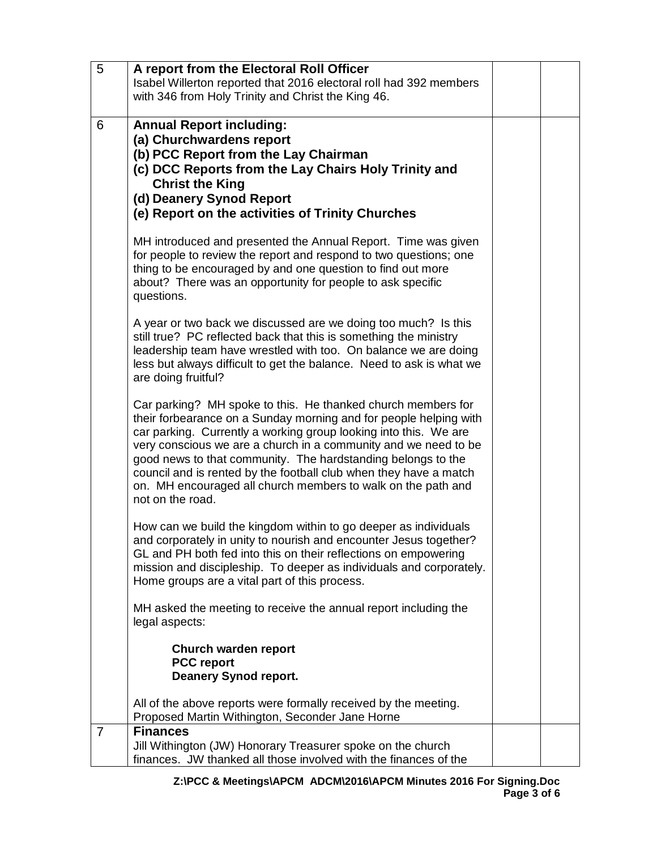| 5 | A report from the Electoral Roll Officer<br>Isabel Willerton reported that 2016 electoral roll had 392 members<br>with 346 from Holy Trinity and Christ the King 46.                                                                                                                                                                                                                                                                                                                              |  |
|---|---------------------------------------------------------------------------------------------------------------------------------------------------------------------------------------------------------------------------------------------------------------------------------------------------------------------------------------------------------------------------------------------------------------------------------------------------------------------------------------------------|--|
| 6 | <b>Annual Report including:</b><br>(a) Churchwardens report<br>(b) PCC Report from the Lay Chairman<br>(c) DCC Reports from the Lay Chairs Holy Trinity and<br><b>Christ the King</b><br>(d) Deanery Synod Report<br>(e) Report on the activities of Trinity Churches                                                                                                                                                                                                                             |  |
|   | MH introduced and presented the Annual Report. Time was given<br>for people to review the report and respond to two questions; one<br>thing to be encouraged by and one question to find out more<br>about? There was an opportunity for people to ask specific<br>questions.                                                                                                                                                                                                                     |  |
|   | A year or two back we discussed are we doing too much? Is this<br>still true? PC reflected back that this is something the ministry<br>leadership team have wrestled with too. On balance we are doing<br>less but always difficult to get the balance. Need to ask is what we<br>are doing fruitful?                                                                                                                                                                                             |  |
|   | Car parking? MH spoke to this. He thanked church members for<br>their forbearance on a Sunday morning and for people helping with<br>car parking. Currently a working group looking into this. We are<br>very conscious we are a church in a community and we need to be<br>good news to that community. The hardstanding belongs to the<br>council and is rented by the football club when they have a match<br>on. MH encouraged all church members to walk on the path and<br>not on the road. |  |
|   | How can we build the kingdom within to go deeper as individuals<br>and corporately in unity to nourish and encounter Jesus together?<br>GL and PH both fed into this on their reflections on empowering<br>mission and discipleship. To deeper as individuals and corporately.<br>Home groups are a vital part of this process.                                                                                                                                                                   |  |
|   | MH asked the meeting to receive the annual report including the<br>legal aspects:                                                                                                                                                                                                                                                                                                                                                                                                                 |  |
|   | Church warden report<br><b>PCC report</b><br><b>Deanery Synod report.</b>                                                                                                                                                                                                                                                                                                                                                                                                                         |  |
|   | All of the above reports were formally received by the meeting.<br>Proposed Martin Withington, Seconder Jane Horne                                                                                                                                                                                                                                                                                                                                                                                |  |
| 7 | <b>Finances</b><br>Jill Withington (JW) Honorary Treasurer spoke on the church<br>finances. JW thanked all those involved with the finances of the                                                                                                                                                                                                                                                                                                                                                |  |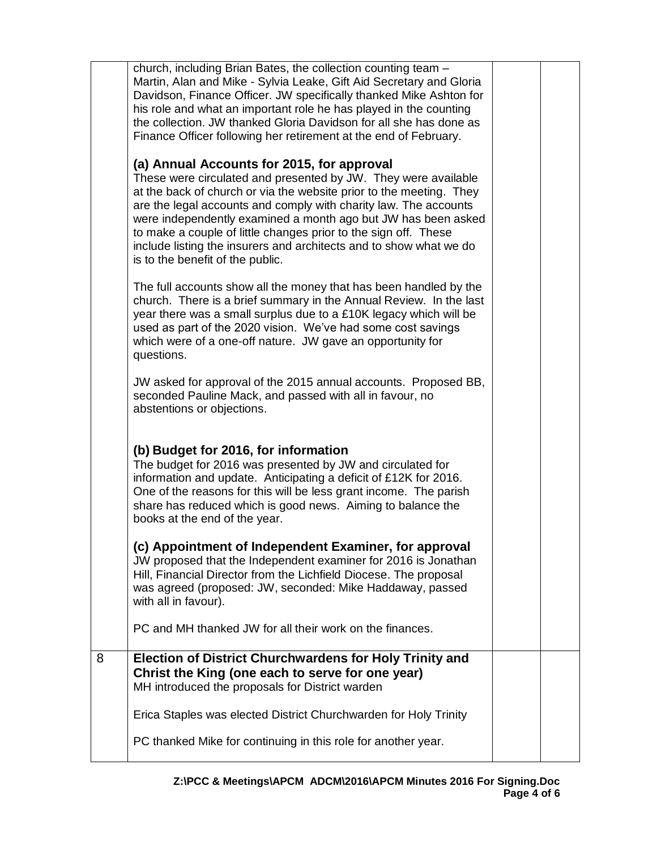|   | church, including Brian Bates, the collection counting team -<br>Martin, Alan and Mike - Sylvia Leake, Gift Aid Secretary and Gloria<br>Davidson, Finance Officer. JW specifically thanked Mike Ashton for<br>his role and what an important role he has played in the counting<br>the collection. JW thanked Gloria Davidson for all she has done as<br>Finance Officer following her retirement at the end of February.                                                                             |  |
|---|-------------------------------------------------------------------------------------------------------------------------------------------------------------------------------------------------------------------------------------------------------------------------------------------------------------------------------------------------------------------------------------------------------------------------------------------------------------------------------------------------------|--|
|   | (a) Annual Accounts for 2015, for approval<br>These were circulated and presented by JW. They were available<br>at the back of church or via the website prior to the meeting. They<br>are the legal accounts and comply with charity law. The accounts<br>were independently examined a month ago but JW has been asked<br>to make a couple of little changes prior to the sign off. These<br>include listing the insurers and architects and to show what we do<br>is to the benefit of the public. |  |
|   | The full accounts show all the money that has been handled by the<br>church. There is a brief summary in the Annual Review. In the last<br>year there was a small surplus due to a £10K legacy which will be<br>used as part of the 2020 vision. We've had some cost savings<br>which were of a one-off nature. JW gave an opportunity for<br>questions.                                                                                                                                              |  |
|   | JW asked for approval of the 2015 annual accounts. Proposed BB,<br>seconded Pauline Mack, and passed with all in favour, no<br>abstentions or objections.                                                                                                                                                                                                                                                                                                                                             |  |
|   | (b) Budget for 2016, for information<br>The budget for 2016 was presented by JW and circulated for<br>information and update. Anticipating a deficit of £12K for 2016.<br>One of the reasons for this will be less grant income. The parish<br>share has reduced which is good news. Aiming to balance the<br>books at the end of the year.                                                                                                                                                           |  |
|   | (c) Appointment of Independent Examiner, for approval<br>JW proposed that the Independent examiner for 2016 is Jonathan<br>Hill, Financial Director from the Lichfield Diocese. The proposal<br>was agreed (proposed: JW, seconded: Mike Haddaway, passed<br>with all in favour).                                                                                                                                                                                                                     |  |
|   | PC and MH thanked JW for all their work on the finances.                                                                                                                                                                                                                                                                                                                                                                                                                                              |  |
| 8 | <b>Election of District Churchwardens for Holy Trinity and</b><br>Christ the King (one each to serve for one year)<br>MH introduced the proposals for District warden                                                                                                                                                                                                                                                                                                                                 |  |
|   | Erica Staples was elected District Churchwarden for Holy Trinity                                                                                                                                                                                                                                                                                                                                                                                                                                      |  |
|   | PC thanked Mike for continuing in this role for another year.                                                                                                                                                                                                                                                                                                                                                                                                                                         |  |
|   |                                                                                                                                                                                                                                                                                                                                                                                                                                                                                                       |  |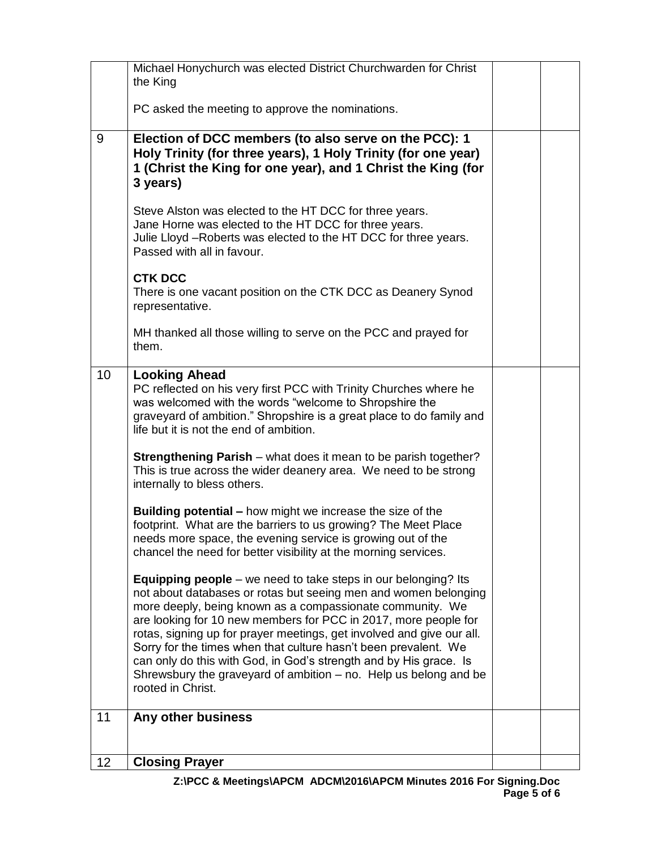| Michael Honychurch was elected District Churchwarden for Christ<br>the King                                                                                                                                                                                                                                                                                                                                                                                                                                                                                                          |  |
|--------------------------------------------------------------------------------------------------------------------------------------------------------------------------------------------------------------------------------------------------------------------------------------------------------------------------------------------------------------------------------------------------------------------------------------------------------------------------------------------------------------------------------------------------------------------------------------|--|
| PC asked the meeting to approve the nominations.                                                                                                                                                                                                                                                                                                                                                                                                                                                                                                                                     |  |
| Election of DCC members (to also serve on the PCC): 1<br>9<br>Holy Trinity (for three years), 1 Holy Trinity (for one year)<br>1 (Christ the King for one year), and 1 Christ the King (for<br>3 years)                                                                                                                                                                                                                                                                                                                                                                              |  |
| Steve Alston was elected to the HT DCC for three years.<br>Jane Horne was elected to the HT DCC for three years.<br>Julie Lloyd - Roberts was elected to the HT DCC for three years.<br>Passed with all in favour.                                                                                                                                                                                                                                                                                                                                                                   |  |
| <b>CTK DCC</b><br>There is one vacant position on the CTK DCC as Deanery Synod<br>representative.                                                                                                                                                                                                                                                                                                                                                                                                                                                                                    |  |
| MH thanked all those willing to serve on the PCC and prayed for<br>them.                                                                                                                                                                                                                                                                                                                                                                                                                                                                                                             |  |
| 10<br><b>Looking Ahead</b><br>PC reflected on his very first PCC with Trinity Churches where he<br>was welcomed with the words "welcome to Shropshire the<br>graveyard of ambition." Shropshire is a great place to do family and<br>life but it is not the end of ambition.                                                                                                                                                                                                                                                                                                         |  |
| <b>Strengthening Parish</b> – what does it mean to be parish together?<br>This is true across the wider deanery area. We need to be strong<br>internally to bless others.                                                                                                                                                                                                                                                                                                                                                                                                            |  |
| <b>Building potential –</b> how might we increase the size of the<br>footprint. What are the barriers to us growing? The Meet Place<br>needs more space, the evening service is growing out of the<br>chancel the need for better visibility at the morning services.                                                                                                                                                                                                                                                                                                                |  |
| <b>Equipping people</b> – we need to take steps in our belonging? Its<br>not about databases or rotas but seeing men and women belonging<br>more deeply, being known as a compassionate community. We<br>are looking for 10 new members for PCC in 2017, more people for<br>rotas, signing up for prayer meetings, get involved and give our all.<br>Sorry for the times when that culture hasn't been prevalent. We<br>can only do this with God, in God's strength and by His grace. Is<br>Shrewsbury the graveyard of ambition $-$ no. Help us belong and be<br>rooted in Christ. |  |
| 11<br>Any other business                                                                                                                                                                                                                                                                                                                                                                                                                                                                                                                                                             |  |
| <b>Closing Prayer</b><br>12 <sub>2</sub>                                                                                                                                                                                                                                                                                                                                                                                                                                                                                                                                             |  |